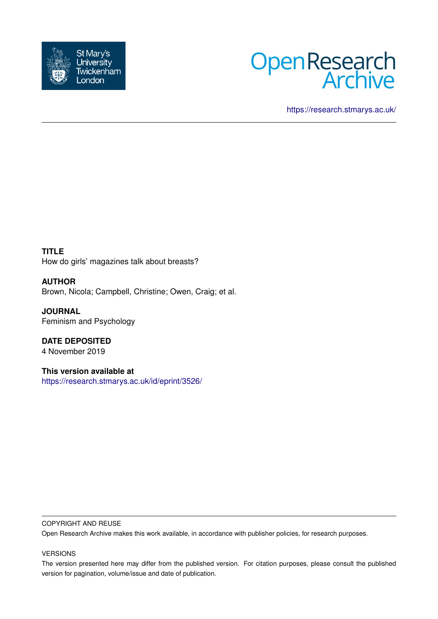



<https://research.stmarys.ac.uk/>

**TITLE** How do girls' magazines talk about breasts?

**AUTHOR** Brown, Nicola; Campbell, Christine; Owen, Craig; et al.

**JOURNAL** Feminism and Psychology

**DATE DEPOSITED** 4 November 2019

**This version available at** <https://research.stmarys.ac.uk/id/eprint/3526/>

# COPYRIGHT AND REUSE

Open Research Archive makes this work available, in accordance with publisher policies, for research purposes.

# VERSIONS

The version presented here may differ from the published version. For citation purposes, please consult the published version for pagination, volume/issue and date of publication.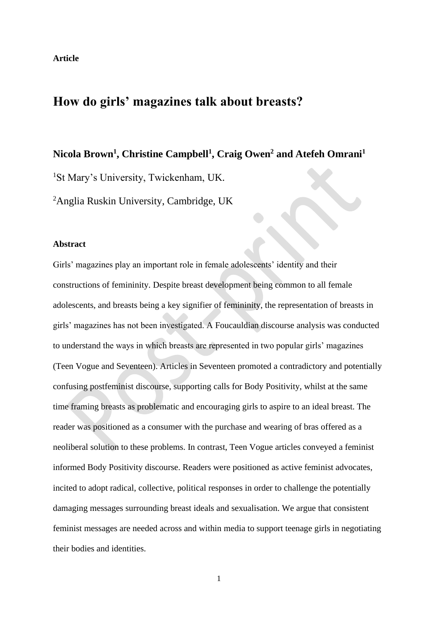# **How do girls' magazines talk about breasts?**

**Nicola Brown<sup>1</sup> , Christine Campbell<sup>1</sup> , Craig Owen<sup>2</sup> and Atefeh Omrani<sup>1</sup>**

<sup>1</sup>St Mary's University, Twickenham, UK.

<sup>2</sup>Anglia Ruskin University, Cambridge, UK

# **Abstract**

Girls' magazines play an important role in female adolescents' identity and their constructions of femininity. Despite breast development being common to all female adolescents, and breasts being a key signifier of femininity, the representation of breasts in girls' magazines has not been investigated. A Foucauldian discourse analysis was conducted to understand the ways in which breasts are represented in two popular girls' magazines (Teen Vogue and Seventeen). Articles in Seventeen promoted a contradictory and potentially confusing postfeminist discourse, supporting calls for Body Positivity, whilst at the same time framing breasts as problematic and encouraging girls to aspire to an ideal breast. The reader was positioned as a consumer with the purchase and wearing of bras offered as a neoliberal solution to these problems. In contrast, Teen Vogue articles conveyed a feminist informed Body Positivity discourse. Readers were positioned as active feminist advocates, incited to adopt radical, collective, political responses in order to challenge the potentially damaging messages surrounding breast ideals and sexualisation. We argue that consistent feminist messages are needed across and within media to support teenage girls in negotiating their bodies and identities.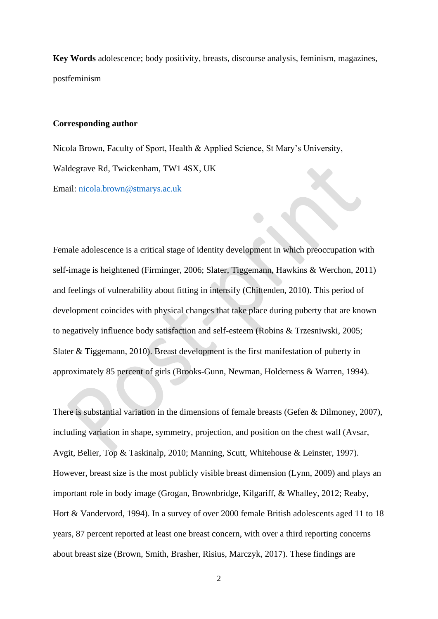**Key Words** adolescence; body positivity, breasts, discourse analysis, feminism, magazines, postfeminism

## **Corresponding author**

Nicola Brown, Faculty of Sport, Health & Applied Science, St Mary's University, Waldegrave Rd, Twickenham, TW1 4SX, UK Email: [nicola.brown@stmarys.ac.uk](mailto:nicola.brown@stmarys.ac.uk) 

Female adolescence is a critical stage of identity development in which preoccupation with self-image is heightened (Firminger, 2006; Slater, Tiggemann, Hawkins & Werchon, 2011) and feelings of vulnerability about fitting in intensify (Chittenden, 2010). This period of development coincides with physical changes that take place during puberty that are known to negatively influence body satisfaction and self-esteem (Robins & Trzesniwski, 2005; Slater & Tiggemann, 2010). Breast development is the first manifestation of puberty in approximately 85 percent of girls (Brooks-Gunn, Newman, Holderness & Warren, 1994).

There is substantial variation in the dimensions of female breasts (Gefen & Dilmoney, 2007), including variation in shape, symmetry, projection, and position on the chest wall (Avsar, Avgit, Belier, Top & Taskinalp, 2010; Manning, Scutt, Whitehouse & Leinster, 1997). However, breast size is the most publicly visible breast dimension (Lynn, 2009) and plays an important role in body image (Grogan, Brownbridge, Kilgariff, & Whalley, 2012; Reaby, Hort & Vandervord, 1994). In a survey of over 2000 female British adolescents aged 11 to 18 years, 87 percent reported at least one breast concern, with over a third reporting concerns about breast size (Brown, Smith, Brasher, Risius, Marczyk, 2017). These findings are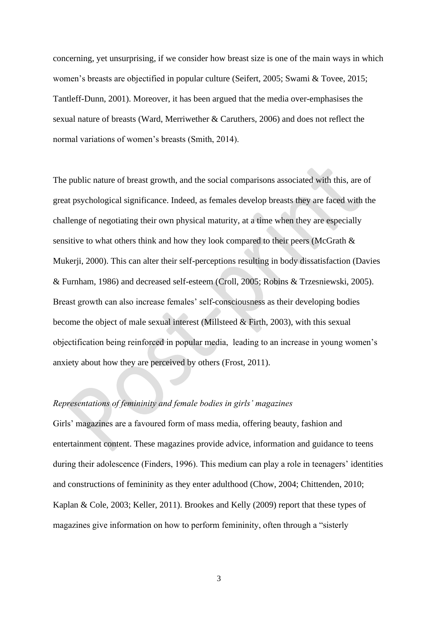concerning, yet unsurprising, if we consider how breast size is one of the main ways in which women's breasts are objectified in popular culture (Seifert, 2005; Swami & Tovee, 2015; Tantleff-Dunn, 2001). Moreover, it has been argued that the media over-emphasises the sexual nature of breasts (Ward, Merriwether & Caruthers, 2006) and does not reflect the normal variations of women's breasts (Smith, 2014).

The public nature of breast growth, and the social comparisons associated with this, are of great psychological significance. Indeed, as females develop breasts they are faced with the challenge of negotiating their own physical maturity, at a time when they are especially sensitive to what others think and how they look compared to their peers (McGrath & Mukerji, 2000). This can alter their self-perceptions resulting in body dissatisfaction (Davies & Furnham, 1986) and decreased self-esteem (Croll, 2005; Robins & Trzesniewski, 2005). Breast growth can also increase females' self-consciousness as their developing bodies become the object of male sexual interest (Millsteed & Firth, 2003), with this sexual objectification being reinforced in popular media, leading to an increase in young women's anxiety about how they are perceived by others (Frost, 2011).

# *Representations of femininity and female bodies in girls' magazines*

Girls' magazines are a favoured form of mass media, offering beauty, fashion and entertainment content. These magazines provide advice, information and guidance to teens during their adolescence (Finders, 1996). This medium can play a role in teenagers' identities and constructions of femininity as they enter adulthood (Chow, 2004; Chittenden, 2010; Kaplan & Cole, 2003; Keller, 2011). Brookes and Kelly (2009) report that these types of magazines give information on how to perform femininity, often through a "sisterly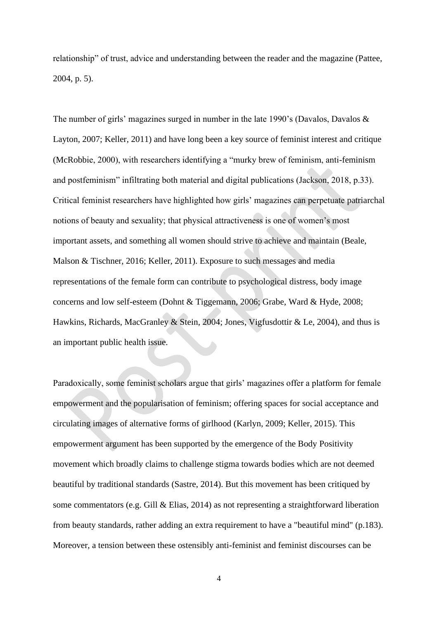relationship" of trust, advice and understanding between the reader and the magazine (Pattee, 2004, p. 5).

The number of girls' magazines surged in number in the late 1990's (Davalos, Davalos & Layton, 2007; Keller, 2011) and have long been a key source of feminist interest and critique (McRobbie, 2000), with researchers identifying a "murky brew of feminism, anti-feminism and postfeminism" infiltrating both material and digital publications (Jackson, 2018, p.33). Critical feminist researchers have highlighted how girls' magazines can perpetuate patriarchal notions of beauty and sexuality; that physical attractiveness is one of women's most important assets, and something all women should strive to achieve and maintain (Beale, Malson & Tischner, 2016; Keller, 2011). Exposure to such messages and media representations of the female form can contribute to psychological distress, body image concerns and low self-esteem (Dohnt & Tiggemann, 2006; Grabe, Ward & Hyde, 2008; Hawkins, Richards, MacGranley & Stein, 2004; Jones, Vigfusdottir & Le, 2004), and thus is an important public health issue.

Paradoxically, some feminist scholars argue that girls' magazines offer a platform for female empowerment and the popularisation of feminism; offering spaces for social acceptance and circulating images of alternative forms of girlhood (Karlyn, 2009; Keller, 2015). This empowerment argument has been supported by the emergence of the Body Positivity movement which broadly claims to challenge stigma towards bodies which are not deemed beautiful by traditional standards (Sastre, 2014). But this movement has been critiqued by some commentators (e.g. Gill & Elias, 2014) as not representing a straightforward liberation from beauty standards, rather adding an extra requirement to have a "beautiful mind" (p.183). Moreover, a tension between these ostensibly anti-feminist and feminist discourses can be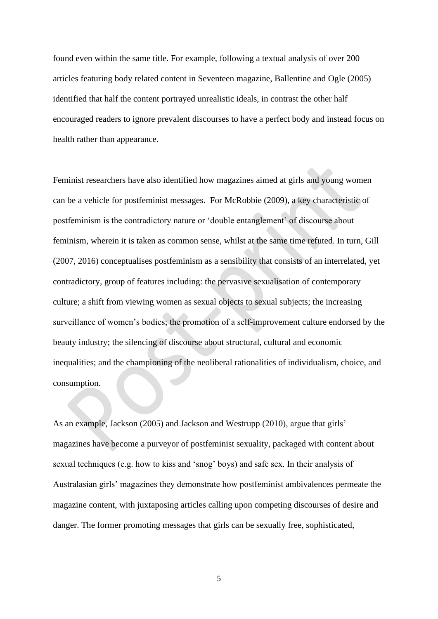found even within the same title. For example, following a textual analysis of over 200 articles featuring body related content in Seventeen magazine, Ballentine and Ogle (2005) identified that half the content portrayed unrealistic ideals, in contrast the other half encouraged readers to ignore prevalent discourses to have a perfect body and instead focus on health rather than appearance.

Feminist researchers have also identified how magazines aimed at girls and young women can be a vehicle for postfeminist messages. For McRobbie (2009), a key characteristic of postfeminism is the contradictory nature or 'double entanglement' of discourse about feminism, wherein it is taken as common sense, whilst at the same time refuted. In turn, Gill (2007, 2016) conceptualises postfeminism as a sensibility that consists of an interrelated, yet contradictory, group of features including: the pervasive sexualisation of contemporary culture; a shift from viewing women as sexual objects to sexual subjects; the increasing surveillance of women's bodies; the promotion of a self-improvement culture endorsed by the beauty industry; the silencing of discourse about structural, cultural and economic inequalities; and the championing of the neoliberal rationalities of individualism, choice, and consumption.

As an example, Jackson (2005) and Jackson and Westrupp (2010), argue that girls' magazines have become a purveyor of postfeminist sexuality, packaged with content about sexual techniques (e.g. how to kiss and 'snog' boys) and safe sex. In their analysis of Australasian girls' magazines they demonstrate how postfeminist ambivalences permeate the magazine content, with juxtaposing articles calling upon competing discourses of desire and danger. The former promoting messages that girls can be sexually free, sophisticated,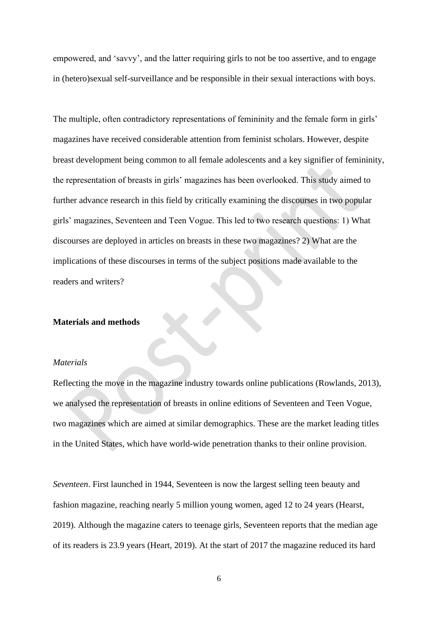empowered, and 'savvy', and the latter requiring girls to not be too assertive, and to engage in (hetero)sexual self-surveillance and be responsible in their sexual interactions with boys.

The multiple, often contradictory representations of femininity and the female form in girls' magazines have received considerable attention from feminist scholars. However, despite breast development being common to all female adolescents and a key signifier of femininity, the representation of breasts in girls' magazines has been overlooked. This study aimed to further advance research in this field by critically examining the discourses in two popular girls' magazines, Seventeen and Teen Vogue. This led to two research questions: 1) What discourses are deployed in articles on breasts in these two magazines? 2) What are the implications of these discourses in terms of the subject positions made available to the readers and writers?

# **Materials and methods**

## *Materials*

Reflecting the move in the magazine industry towards online publications (Rowlands, 2013), we analysed the representation of breasts in online editions of Seventeen and Teen Vogue, two magazines which are aimed at similar demographics. These are the market leading titles in the United States, which have world-wide penetration thanks to their online provision.

*Seventeen*. First launched in 1944, Seventeen is now the largest selling teen beauty and fashion magazine, reaching nearly 5 million young women, aged 12 to 24 years (Hearst, 2019). Although the magazine caters to teenage girls, Seventeen reports that the median age of its readers is 23.9 years (Heart, 2019). At the start of 2017 the magazine reduced its hard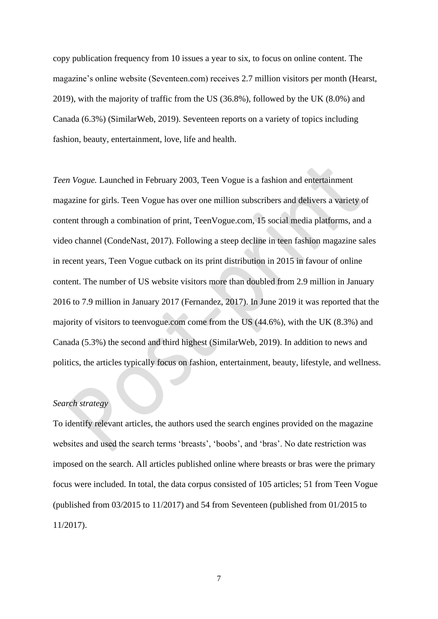copy publication frequency from 10 issues a year to six, to focus on online content. The magazine's online website (Seventeen.com) receives 2.7 million visitors per month (Hearst, 2019), with the majority of traffic from the US (36.8%), followed by the UK (8.0%) and Canada (6.3%) (SimilarWeb, 2019). Seventeen reports on a variety of topics including fashion, beauty, entertainment, love, life and health.

*Teen Vogue.* Launched in February 2003, Teen Vogue is a fashion and entertainment magazine for girls. Teen Vogue has over one million subscribers and delivers a variety of content through a combination of print, TeenVogue.com, 15 social media platforms, and a video channel (CondeNast, 2017). Following a steep decline in teen fashion magazine sales in recent years, Teen Vogue cutback on its print distribution in 2015 in favour of online content. The number of US website visitors more than doubled from 2.9 million in January 2016 to 7.9 million in January 2017 (Fernandez, 2017). In June 2019 it was reported that the majority of visitors to teenvogue.com come from the US (44.6%), with the UK (8.3%) and Canada (5.3%) the second and third highest (SimilarWeb, 2019). In addition to news and politics, the articles typically focus on fashion, entertainment, beauty, lifestyle, and wellness.

# *Search strategy*

To identify relevant articles, the authors used the search engines provided on the magazine websites and used the search terms 'breasts', 'boobs', and 'bras'. No date restriction was imposed on the search. All articles published online where breasts or bras were the primary focus were included. In total, the data corpus consisted of 105 articles; 51 from Teen Vogue (published from 03/2015 to 11/2017) and 54 from Seventeen (published from 01/2015 to 11/2017).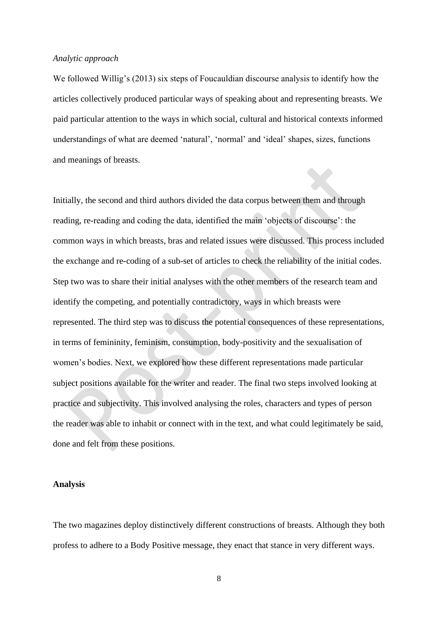## *Analytic approach*

We followed Willig's (2013) six steps of Foucauldian discourse analysis to identify how the articles collectively produced particular ways of speaking about and representing breasts. We paid particular attention to the ways in which social, cultural and historical contexts informed understandings of what are deemed 'natural', 'normal' and 'ideal' shapes, sizes, functions and meanings of breasts.

Initially, the second and third authors divided the data corpus between them and through reading, re-reading and coding the data, identified the main 'objects of discourse': the common ways in which breasts, bras and related issues were discussed. This process included the exchange and re-coding of a sub-set of articles to check the reliability of the initial codes. Step two was to share their initial analyses with the other members of the research team and identify the competing, and potentially contradictory, ways in which breasts were represented. The third step was to discuss the potential consequences of these representations, in terms of femininity, feminism, consumption, body-positivity and the sexualisation of women's bodies. Next, we explored how these different representations made particular subject positions available for the writer and reader. The final two steps involved looking at practice and subjectivity. This involved analysing the roles, characters and types of person the reader was able to inhabit or connect with in the text, and what could legitimately be said, done and felt from these positions.

#### **Analysis**

The two magazines deploy distinctively different constructions of breasts. Although they both profess to adhere to a Body Positive message, they enact that stance in very different ways.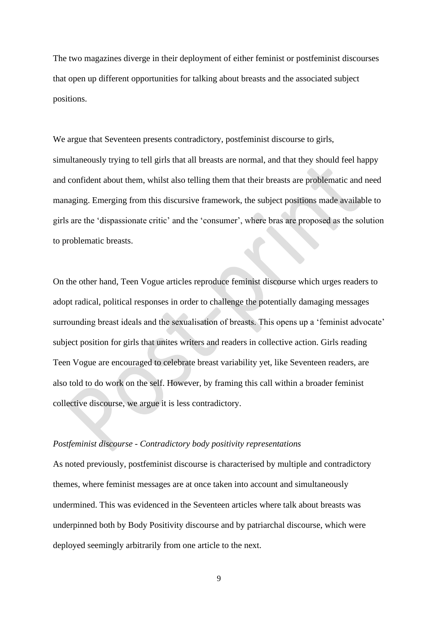The two magazines diverge in their deployment of either feminist or postfeminist discourses that open up different opportunities for talking about breasts and the associated subject positions.

We argue that Seventeen presents contradictory, postfeminist discourse to girls, simultaneously trying to tell girls that all breasts are normal, and that they should feel happy and confident about them, whilst also telling them that their breasts are problematic and need managing. Emerging from this discursive framework, the subject positions made available to girls are the 'dispassionate critic' and the 'consumer', where bras are proposed as the solution to problematic breasts.

On the other hand, Teen Vogue articles reproduce feminist discourse which urges readers to adopt radical, political responses in order to challenge the potentially damaging messages surrounding breast ideals and the sexualisation of breasts. This opens up a 'feminist advocate' subject position for girls that unites writers and readers in collective action. Girls reading Teen Vogue are encouraged to celebrate breast variability yet, like Seventeen readers, are also told to do work on the self. However, by framing this call within a broader feminist collective discourse, we argue it is less contradictory.

#### *Postfeminist discourse - Contradictory body positivity representations*

As noted previously, postfeminist discourse is characterised by multiple and contradictory themes, where feminist messages are at once taken into account and simultaneously undermined. This was evidenced in the Seventeen articles where talk about breasts was underpinned both by Body Positivity discourse and by patriarchal discourse, which were deployed seemingly arbitrarily from one article to the next.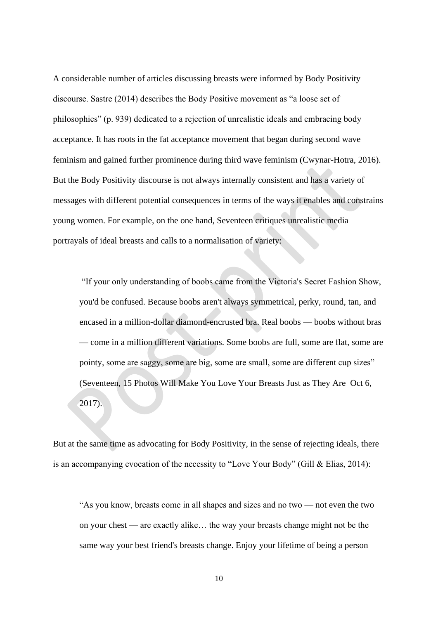A considerable number of articles discussing breasts were informed by Body Positivity discourse. Sastre (2014) describes the Body Positive movement as "a loose set of philosophies" (p. 939) dedicated to a rejection of unrealistic ideals and embracing body acceptance. It has roots in the fat acceptance movement that began during second wave feminism and gained further prominence during third wave feminism (Cwynar-Hotra, 2016). But the Body Positivity discourse is not always internally consistent and has a variety of messages with different potential consequences in terms of the ways it enables and constrains young women. For example, on the one hand, Seventeen critiques unrealistic media portrayals of ideal breasts and calls to a normalisation of variety:

"If your only understanding of boobs came from the Victoria's Secret Fashion Show, you'd be confused. Because boobs aren't always symmetrical, perky, round, tan, and encased in a million-dollar diamond-encrusted bra. Real boobs — boobs without bras — come in a million different variations. Some boobs are full, some are flat, some are pointy, some are saggy, some are big, some are small, some are different cup sizes" (Seventeen, 15 Photos Will Make You Love Your Breasts Just as They Are Oct 6, 2017).

But at the same time as advocating for Body Positivity, in the sense of rejecting ideals, there is an accompanying evocation of the necessity to "Love Your Body" (Gill & Elias, 2014):

"As you know, breasts come in all shapes and sizes and no two — not even the two on your chest — are exactly alike… the way your breasts change might not be the same way your best friend's breasts change. Enjoy your lifetime of being a person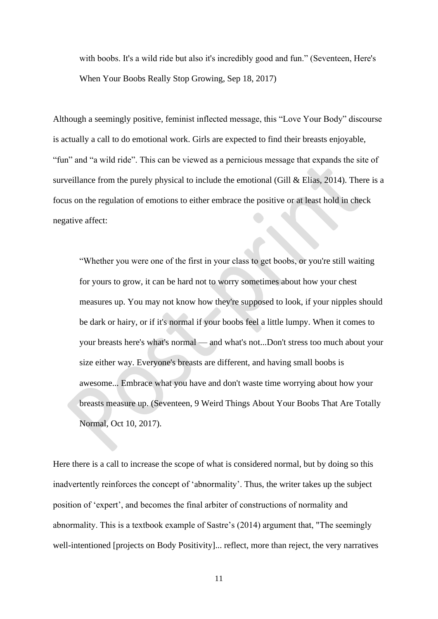with boobs. It's a wild ride but also it's incredibly good and fun." (Seventeen, Here's When Your Boobs Really Stop Growing, Sep 18, 2017)

Although a seemingly positive, feminist inflected message, this "Love Your Body" discourse is actually a call to do emotional work. Girls are expected to find their breasts enjoyable, "fun" and "a wild ride". This can be viewed as a pernicious message that expands the site of surveillance from the purely physical to include the emotional (Gill & Elias, 2014). There is a focus on the regulation of emotions to either embrace the positive or at least hold in check negative affect:

"Whether you were one of the first in your class to get boobs, or you're still waiting for yours to grow, it can be hard not to worry sometimes about how your chest measures up. You may not know how they're supposed to look, if your nipples should be dark or hairy, or if it's normal if your boobs feel a little lumpy. When it comes to your breasts here's what's normal — and what's not...Don't stress too much about your size either way. Everyone's breasts are different, and having small boobs is awesome... Embrace what you have and don't waste time worrying about how your breasts measure up. (Seventeen, 9 Weird Things About Your Boobs That Are Totally Normal, Oct 10, 2017).

Here there is a call to increase the scope of what is considered normal, but by doing so this inadvertently reinforces the concept of 'abnormality'. Thus, the writer takes up the subject position of 'expert', and becomes the final arbiter of constructions of normality and abnormality. This is a textbook example of Sastre's (2014) argument that, "The seemingly well-intentioned [projects on Body Positivity]... reflect, more than reject, the very narratives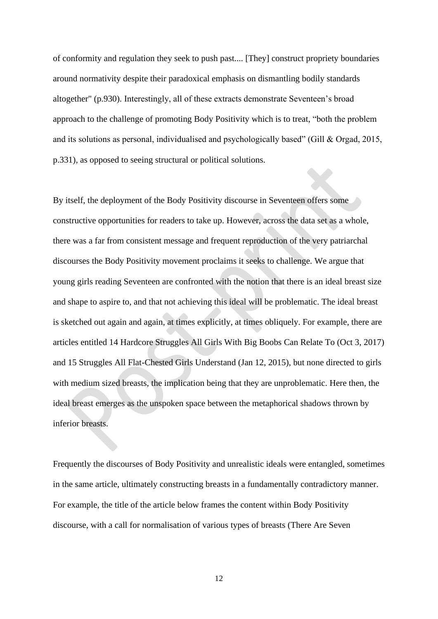of conformity and regulation they seek to push past.... [They] construct propriety boundaries around normativity despite their paradoxical emphasis on dismantling bodily standards altogether" (p.930). Interestingly, all of these extracts demonstrate Seventeen's broad approach to the challenge of promoting Body Positivity which is to treat, "both the problem and its solutions as personal, individualised and psychologically based" (Gill & Orgad, 2015, p.331), as opposed to seeing structural or political solutions.

By itself, the deployment of the Body Positivity discourse in Seventeen offers some constructive opportunities for readers to take up. However, across the data set as a whole, there was a far from consistent message and frequent reproduction of the very patriarchal discourses the Body Positivity movement proclaims it seeks to challenge. We argue that young girls reading Seventeen are confronted with the notion that there is an ideal breast size and shape to aspire to, and that not achieving this ideal will be problematic. The ideal breast is sketched out again and again, at times explicitly, at times obliquely. For example, there are articles entitled 14 Hardcore Struggles All Girls With Big Boobs Can Relate To (Oct 3, 2017) and 15 Struggles All Flat-Chested Girls Understand (Jan 12, 2015), but none directed to girls with medium sized breasts, the implication being that they are unproblematic. Here then, the ideal breast emerges as the unspoken space between the metaphorical shadows thrown by inferior breasts.

Frequently the discourses of Body Positivity and unrealistic ideals were entangled, sometimes in the same article, ultimately constructing breasts in a fundamentally contradictory manner. For example, the title of the article below frames the content within Body Positivity discourse, with a call for normalisation of various types of breasts (There Are Seven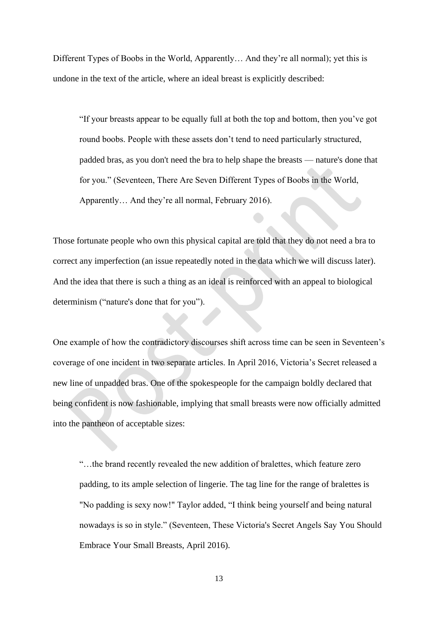Different Types of Boobs in the World, Apparently… And they're all normal); yet this is undone in the text of the article, where an ideal breast is explicitly described:

"If your breasts appear to be equally full at both the top and bottom, then you've got round boobs. People with these assets don't tend to need particularly structured, padded bras, as you don't need the bra to help shape the breasts — nature's done that for you." (Seventeen, There Are Seven Different Types of Boobs in the World, Apparently… And they're all normal, February 2016).

Those fortunate people who own this physical capital are told that they do not need a bra to correct any imperfection (an issue repeatedly noted in the data which we will discuss later). And the idea that there is such a thing as an ideal is reinforced with an appeal to biological determinism ("nature's done that for you").

One example of how the contradictory discourses shift across time can be seen in Seventeen's coverage of one incident in two separate articles. In April 2016, Victoria's Secret released a new line of unpadded bras. One of the spokespeople for the campaign boldly declared that being confident is now fashionable, implying that small breasts were now officially admitted into the pantheon of acceptable sizes:

"…the brand recently revealed the new addition of bralettes, which feature zero padding, to its ample selection of lingerie. The tag line for the range of bralettes is "No padding is sexy now!" Taylor added, "I think being yourself and being natural nowadays is so in style." (Seventeen, These Victoria's Secret Angels Say You Should Embrace Your Small Breasts, April 2016).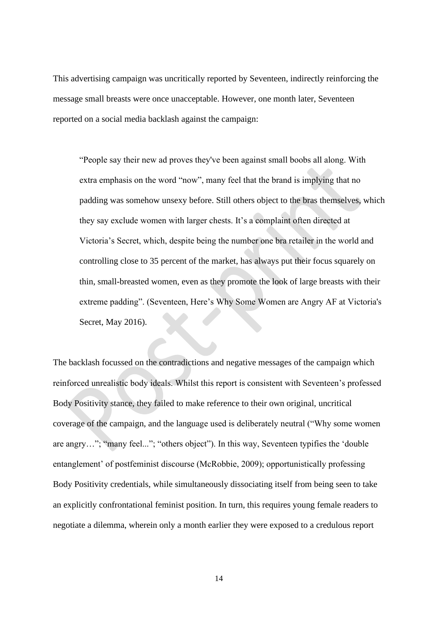This advertising campaign was uncritically reported by Seventeen, indirectly reinforcing the message small breasts were once unacceptable. However, one month later, Seventeen reported on a social media backlash against the campaign:

"People say their new ad proves they've been against small boobs all along. With extra emphasis on the word "now", many feel that the brand is implying that no padding was somehow unsexy before. Still others object to the bras themselves, which they say exclude women with larger chests. It's a complaint often directed at Victoria's Secret, which, despite being the number one bra retailer in the world and controlling close to 35 percent of the market, has always put their focus squarely on thin, small-breasted women, even as they promote the look of large breasts with their extreme padding". (Seventeen, Here's Why Some Women are Angry AF at Victoria's Secret, May 2016).

The backlash focussed on the contradictions and negative messages of the campaign which reinforced unrealistic body ideals. Whilst this report is consistent with Seventeen's professed Body Positivity stance, they failed to make reference to their own original, uncritical coverage of the campaign, and the language used is deliberately neutral ("Why some women are angry…"; "many feel..."; "others object"). In this way, Seventeen typifies the 'double entanglement' of postfeminist discourse (McRobbie, 2009); opportunistically professing Body Positivity credentials, while simultaneously dissociating itself from being seen to take an explicitly confrontational feminist position. In turn, this requires young female readers to negotiate a dilemma, wherein only a month earlier they were exposed to a credulous report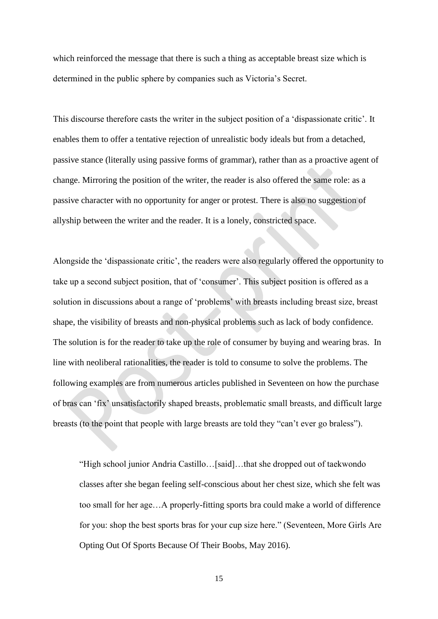which reinforced the message that there is such a thing as acceptable breast size which is determined in the public sphere by companies such as Victoria's Secret.

This discourse therefore casts the writer in the subject position of a 'dispassionate critic'. It enables them to offer a tentative rejection of unrealistic body ideals but from a detached, passive stance (literally using passive forms of grammar), rather than as a proactive agent of change. Mirroring the position of the writer, the reader is also offered the same role: as a passive character with no opportunity for anger or protest. There is also no suggestion of allyship between the writer and the reader. It is a lonely, constricted space.

Alongside the 'dispassionate critic', the readers were also regularly offered the opportunity to take up a second subject position, that of 'consumer'. This subject position is offered as a solution in discussions about a range of 'problems' with breasts including breast size, breast shape, the visibility of breasts and non-physical problems such as lack of body confidence. The solution is for the reader to take up the role of consumer by buying and wearing bras. In line with neoliberal rationalities, the reader is told to consume to solve the problems. The following examples are from numerous articles published in Seventeen on how the purchase of bras can 'fix' unsatisfactorily shaped breasts, problematic small breasts, and difficult large breasts (to the point that people with large breasts are told they "can't ever go braless").

"High school junior Andria Castillo…[said]…that she dropped out of taekwondo classes after she began feeling self-conscious about her chest size, which she felt was too small for her age…A properly-fitting sports bra could make a world of difference for you: shop the best sports bras for your cup size here." (Seventeen, More Girls Are Opting Out Of Sports Because Of Their Boobs, May 2016).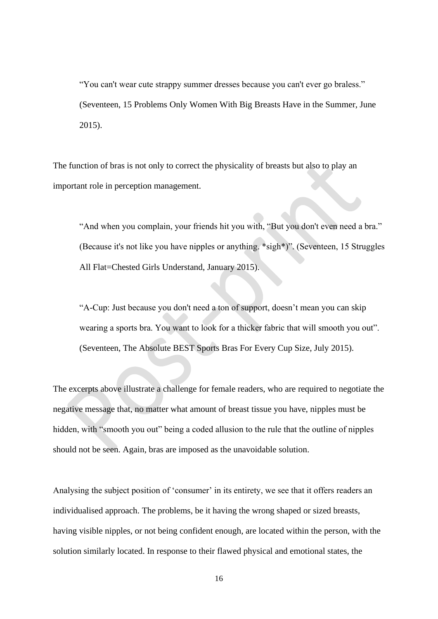"You can't wear cute strappy summer dresses because you can't ever go braless." (Seventeen, 15 Problems Only Women With Big Breasts Have in the Summer, June 2015).

The function of bras is not only to correct the physicality of breasts but also to play an important role in perception management.

"And when you complain, your friends hit you with, "But you don't even need a bra." (Because it's not like you have nipples or anything. \*sigh\*)". (Seventeen, 15 Struggles All Flat=Chested Girls Understand, January 2015).

"A-Cup: Just because you don't need a ton of support, doesn't mean you can skip wearing a sports bra. You want to look for a thicker fabric that will smooth you out". (Seventeen, The Absolute BEST Sports Bras For Every Cup Size, July 2015).

The excerpts above illustrate a challenge for female readers, who are required to negotiate the negative message that, no matter what amount of breast tissue you have, nipples must be hidden, with "smooth you out" being a coded allusion to the rule that the outline of nipples should not be seen. Again, bras are imposed as the unavoidable solution.

Analysing the subject position of 'consumer' in its entirety, we see that it offers readers an individualised approach. The problems, be it having the wrong shaped or sized breasts, having visible nipples, or not being confident enough, are located within the person, with the solution similarly located. In response to their flawed physical and emotional states, the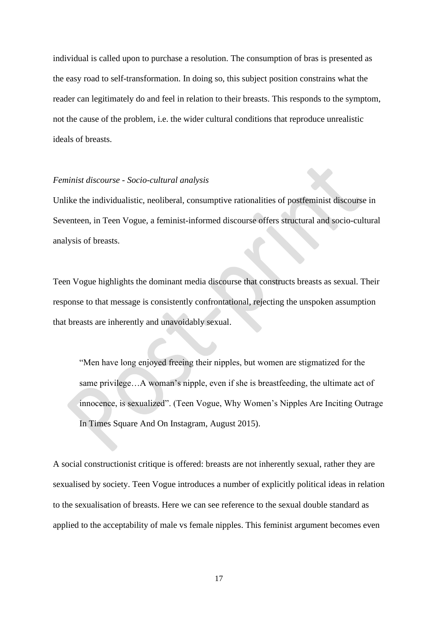individual is called upon to purchase a resolution. The consumption of bras is presented as the easy road to self-transformation. In doing so, this subject position constrains what the reader can legitimately do and feel in relation to their breasts. This responds to the symptom, not the cause of the problem, i.e. the wider cultural conditions that reproduce unrealistic ideals of breasts.

## *Feminist discourse - Socio-cultural analysis*

Unlike the individualistic, neoliberal, consumptive rationalities of postfeminist discourse in Seventeen, in Teen Vogue, a feminist-informed discourse offers structural and socio-cultural analysis of breasts.

Teen Vogue highlights the dominant media discourse that constructs breasts as sexual. Their response to that message is consistently confrontational, rejecting the unspoken assumption that breasts are inherently and unavoidably sexual.

"Men have long enjoyed freeing their nipples, but women are stigmatized for the same privilege…A woman's nipple, even if she is breastfeeding, the ultimate act of innocence, is sexualized". (Teen Vogue, Why Women's Nipples Are Inciting Outrage In Times Square And On Instagram, August 2015).

A social constructionist critique is offered: breasts are not inherently sexual, rather they are sexualised by society. Teen Vogue introduces a number of explicitly political ideas in relation to the sexualisation of breasts. Here we can see reference to the sexual double standard as applied to the acceptability of male vs female nipples. This feminist argument becomes even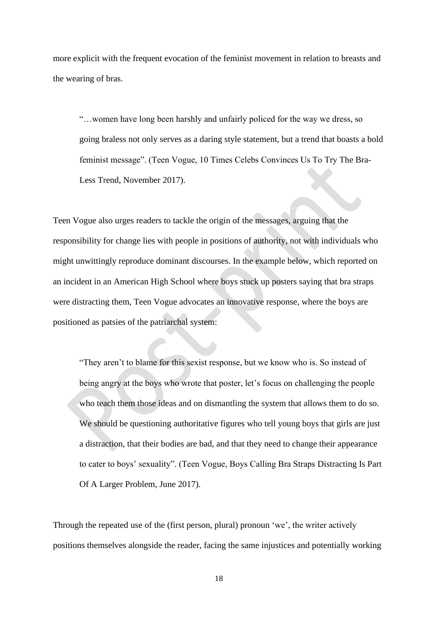more explicit with the frequent evocation of the feminist movement in relation to breasts and the wearing of bras.

"…women have long been harshly and unfairly policed for the way we dress, so going braless not only serves as a daring style statement, but a trend that boasts a bold feminist message". (Teen Vogue, 10 Times Celebs Convinces Us To Try The Bra-Less Trend, November 2017).

Teen Vogue also urges readers to tackle the origin of the messages, arguing that the responsibility for change lies with people in positions of authority, not with individuals who might unwittingly reproduce dominant discourses. In the example below, which reported on an incident in an American High School where boys stuck up posters saying that bra straps were distracting them, Teen Vogue advocates an innovative response, where the boys are positioned as patsies of the patriarchal system:

"They aren't to blame for this sexist response, but we know who is. So instead of being angry at the boys who wrote that poster, let's focus on challenging the people who teach them those ideas and on dismantling the system that allows them to do so. We should be questioning authoritative figures who tell young boys that girls are just a distraction, that their bodies are bad, and that they need to change their appearance to cater to boys' sexuality". (Teen Vogue, Boys Calling Bra Straps Distracting Is Part Of A Larger Problem, June 2017).

Through the repeated use of the (first person, plural) pronoun 'we', the writer actively positions themselves alongside the reader, facing the same injustices and potentially working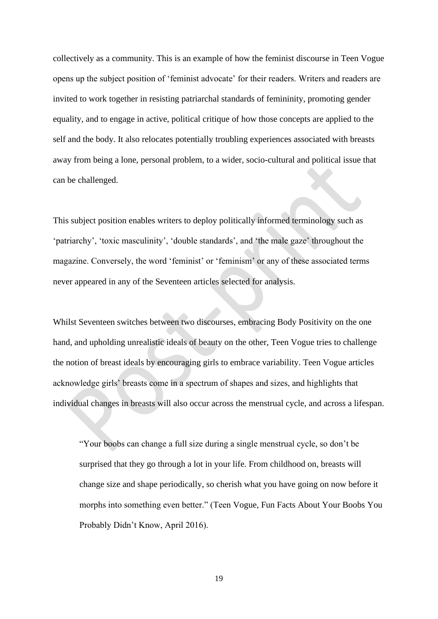collectively as a community. This is an example of how the feminist discourse in Teen Vogue opens up the subject position of 'feminist advocate' for their readers. Writers and readers are invited to work together in resisting patriarchal standards of femininity, promoting gender equality, and to engage in active, political critique of how those concepts are applied to the self and the body. It also relocates potentially troubling experiences associated with breasts away from being a lone, personal problem, to a wider, socio-cultural and political issue that can be challenged.

This subject position enables writers to deploy politically informed terminology such as 'patriarchy', 'toxic masculinity', 'double standards', and 'the male gaze' throughout the magazine. Conversely, the word 'feminist' or 'feminism' or any of these associated terms never appeared in any of the Seventeen articles selected for analysis.

Whilst Seventeen switches between two discourses, embracing Body Positivity on the one hand, and upholding unrealistic ideals of beauty on the other, Teen Vogue tries to challenge the notion of breast ideals by encouraging girls to embrace variability. Teen Vogue articles acknowledge girls' breasts come in a spectrum of shapes and sizes, and highlights that individual changes in breasts will also occur across the menstrual cycle, and across a lifespan.

"Your boobs can change a full size during a single menstrual cycle, so don't be surprised that they go through a lot in your life. From childhood on, breasts will change size and shape periodically, so cherish what you have going on now before it morphs into something even better." (Teen Vogue, Fun Facts About Your Boobs You Probably Didn't Know, April 2016).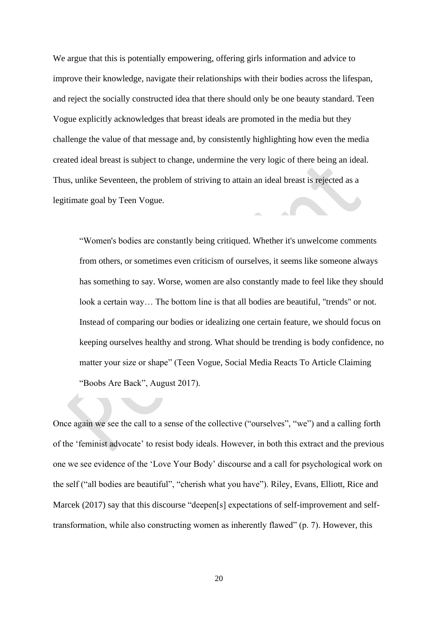We argue that this is potentially empowering, offering girls information and advice to improve their knowledge, navigate their relationships with their bodies across the lifespan, and reject the socially constructed idea that there should only be one beauty standard. Teen Vogue explicitly acknowledges that breast ideals are promoted in the media but they challenge the value of that message and, by consistently highlighting how even the media created ideal breast is subject to change, undermine the very logic of there being an ideal. Thus, unlike Seventeen, the problem of striving to attain an ideal breast is rejected as a legitimate goal by Teen Vogue.

"Women's bodies are constantly being critiqued. Whether it's unwelcome comments from others, or sometimes even criticism of ourselves, it seems like someone always has something to say. Worse, women are also constantly made to feel like they should look a certain way... The bottom line is that all bodies are beautiful, "trends" or not. Instead of comparing our bodies or idealizing one certain feature, we should focus on keeping ourselves healthy and strong. What should be trending is body confidence, no matter your size or shape" (Teen Vogue, Social Media Reacts To Article Claiming "Boobs Are Back", August 2017).

Once again we see the call to a sense of the collective ("ourselves", "we") and a calling forth of the 'feminist advocate' to resist body ideals. However, in both this extract and the previous one we see evidence of the 'Love Your Body' discourse and a call for psychological work on the self ("all bodies are beautiful", "cherish what you have"). Riley, Evans, Elliott, Rice and Marcek (2017) say that this discourse "deepen[s] expectations of self-improvement and selftransformation, while also constructing women as inherently flawed" (p. 7). However, this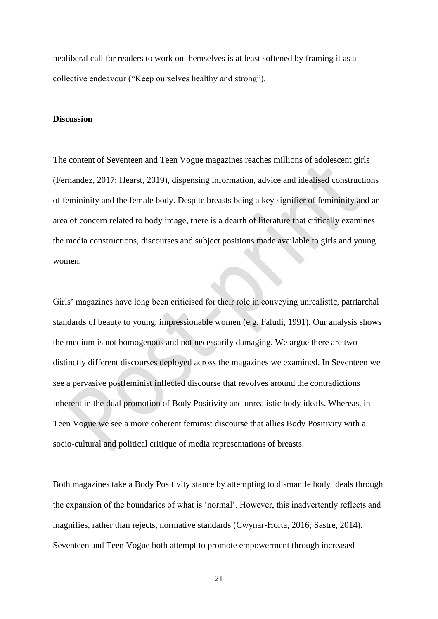neoliberal call for readers to work on themselves is at least softened by framing it as a collective endeavour ("Keep ourselves healthy and strong").

# **Discussion**

The content of Seventeen and Teen Vogue magazines reaches millions of adolescent girls (Fernandez, 2017; Hearst, 2019), dispensing information, advice and idealised constructions of femininity and the female body. Despite breasts being a key signifier of femininity and an area of concern related to body image, there is a dearth of literature that critically examines the media constructions, discourses and subject positions made available to girls and young women.

Girls' magazines have long been criticised for their role in conveying unrealistic, patriarchal standards of beauty to young, impressionable women (e.g. Faludi, 1991). Our analysis shows the medium is not homogenous and not necessarily damaging. We argue there are two distinctly different discourses deployed across the magazines we examined. In Seventeen we see a pervasive postfeminist inflected discourse that revolves around the contradictions inherent in the dual promotion of Body Positivity and unrealistic body ideals. Whereas, in Teen Vogue we see a more coherent feminist discourse that allies Body Positivity with a socio-cultural and political critique of media representations of breasts.

Both magazines take a Body Positivity stance by attempting to dismantle body ideals through the expansion of the boundaries of what is 'normal'. However, this inadvertently reflects and magnifies, rather than rejects, normative standards (Cwynar-Horta, 2016; Sastre, 2014). Seventeen and Teen Vogue both attempt to promote empowerment through increased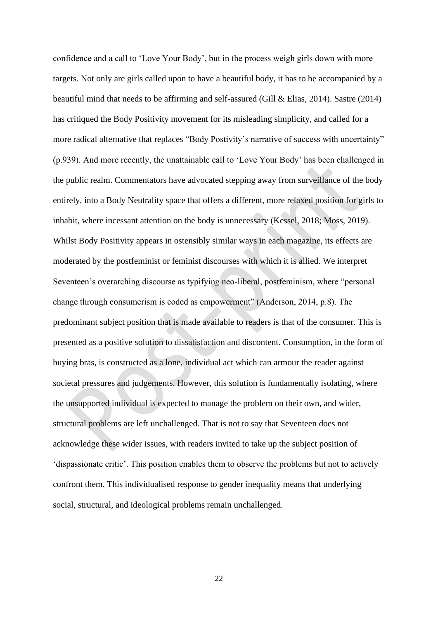confidence and a call to 'Love Your Body', but in the process weigh girls down with more targets. Not only are girls called upon to have a beautiful body, it has to be accompanied by a beautiful mind that needs to be affirming and self-assured (Gill & Elias, 2014). Sastre (2014) has critiqued the Body Positivity movement for its misleading simplicity, and called for a more radical alternative that replaces "Body Postivity's narrative of success with uncertainty" (p.939). And more recently, the unattainable call to 'Love Your Body' has been challenged in the public realm. Commentators have advocated stepping away from surveillance of the body entirely, into a Body Neutrality space that offers a different, more relaxed position for girls to inhabit, where incessant attention on the body is unnecessary (Kessel, 2018; Moss, 2019). Whilst Body Positivity appears in ostensibly similar ways in each magazine, its effects are moderated by the postfeminist or feminist discourses with which it is allied. We interpret Seventeen's overarching discourse as typifying neo-liberal, postfeminism, where "personal change through consumerism is coded as empowerment" (Anderson, 2014, p.8). The predominant subject position that is made available to readers is that of the consumer. This is presented as a positive solution to dissatisfaction and discontent. Consumption, in the form of buying bras, is constructed as a lone, individual act which can armour the reader against societal pressures and judgements. However, this solution is fundamentally isolating, where the unsupported individual is expected to manage the problem on their own, and wider, structural problems are left unchallenged. That is not to say that Seventeen does not acknowledge these wider issues, with readers invited to take up the subject position of 'dispassionate critic'. This position enables them to observe the problems but not to actively confront them. This individualised response to gender inequality means that underlying social, structural, and ideological problems remain unchallenged.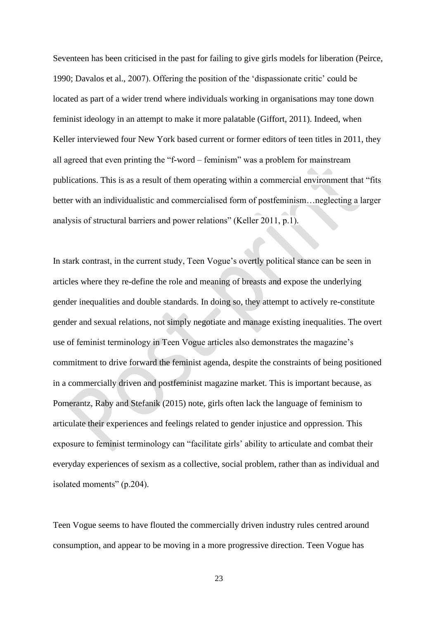Seventeen has been criticised in the past for failing to give girls models for liberation (Peirce, 1990; Davalos et al., 2007). Offering the position of the 'dispassionate critic' could be located as part of a wider trend where individuals working in organisations may tone down feminist ideology in an attempt to make it more palatable (Giffort, 2011). Indeed, when Keller interviewed four New York based current or former editors of teen titles in 2011, they all agreed that even printing the "f-word – feminism" was a problem for mainstream publications. This is as a result of them operating within a commercial environment that "fits better with an individualistic and commercialised form of postfeminism…neglecting a larger analysis of structural barriers and power relations" (Keller 2011, p.1).

In stark contrast, in the current study, Teen Vogue's overtly political stance can be seen in articles where they re-define the role and meaning of breasts and expose the underlying gender inequalities and double standards. In doing so, they attempt to actively re-constitute gender and sexual relations, not simply negotiate and manage existing inequalities. The overt use of feminist terminology in Teen Vogue articles also demonstrates the magazine's commitment to drive forward the feminist agenda, despite the constraints of being positioned in a commercially driven and postfeminist magazine market. This is important because, as Pomerantz, Raby and Stefanik (2015) note, girls often lack the language of feminism to articulate their experiences and feelings related to gender injustice and oppression. This exposure to feminist terminology can "facilitate girls' ability to articulate and combat their everyday experiences of sexism as a collective, social problem, rather than as individual and isolated moments" (p.204).

Teen Vogue seems to have flouted the commercially driven industry rules centred around consumption, and appear to be moving in a more progressive direction. Teen Vogue has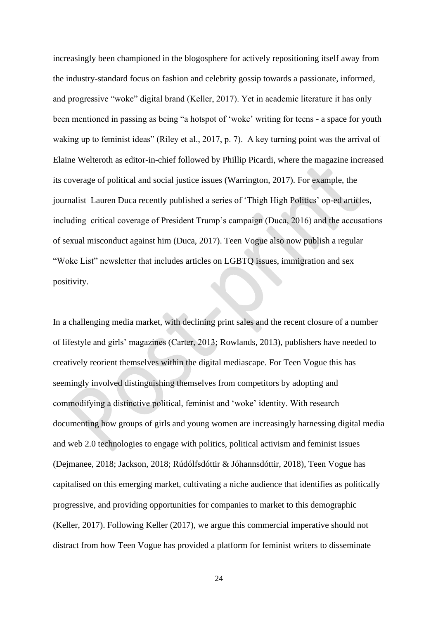increasingly been championed in the blogosphere for actively repositioning itself away from the industry-standard focus on fashion and celebrity gossip towards a passionate, informed, and progressive "woke" digital brand (Keller, 2017). Yet in academic literature it has only been mentioned in passing as being "a hotspot of 'woke' writing for teens - a space for youth waking up to feminist ideas" (Riley et al., 2017, p. 7). A key turning point was the arrival of Elaine Welteroth as editor-in-chief followed by Phillip Picardi, where the magazine increased its coverage of political and social justice issues (Warrington, 2017). For example, the journalist Lauren Duca recently published a series of 'Thigh High Politics' op-ed articles, including critical coverage of President Trump's campaign (Duca, 2016) and the accusations of sexual misconduct against him (Duca, 2017). Teen Vogue also now publish a regular "Woke List" newsletter that includes articles on LGBTQ issues, immigration and sex positivity.

In a challenging media market, with declining print sales and the recent closure of a number of lifestyle and girls' magazines (Carter, 2013; Rowlands, 2013), publishers have needed to creatively reorient themselves within the digital mediascape. For Teen Vogue this has seemingly involved distinguishing themselves from competitors by adopting and commodifying a distinctive political, feminist and 'woke' identity. With research documenting how groups of girls and young women are increasingly harnessing digital media and web 2.0 technologies to engage with politics, political activism and feminist issues (Dejmanee, 2018; Jackson, 2018; Rúdólfsdóttir & Jóhannsdóttir, 2018), Teen Vogue has capitalised on this emerging market, cultivating a niche audience that identifies as politically progressive, and providing opportunities for companies to market to this demographic (Keller, 2017). Following Keller (2017), we argue this commercial imperative should not distract from how Teen Vogue has provided a platform for feminist writers to disseminate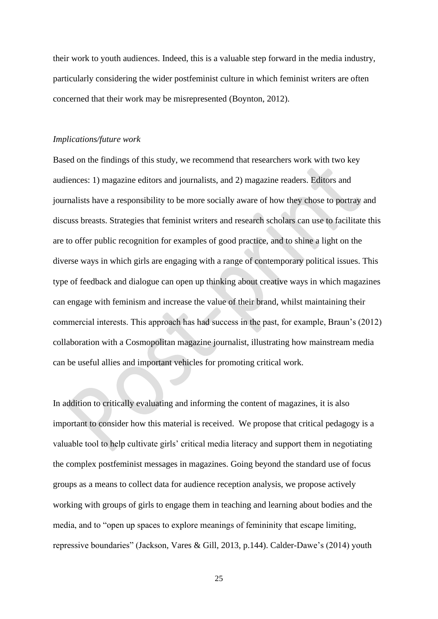their work to youth audiences. Indeed, this is a valuable step forward in the media industry, particularly considering the wider postfeminist culture in which feminist writers are often concerned that their work may be misrepresented (Boynton, 2012).

#### *Implications/future work*

Based on the findings of this study, we recommend that researchers work with two key audiences: 1) magazine editors and journalists, and 2) magazine readers. Editors and journalists have a responsibility to be more socially aware of how they chose to portray and discuss breasts. Strategies that feminist writers and research scholars can use to facilitate this are to offer public recognition for examples of good practice, and to shine a light on the diverse ways in which girls are engaging with a range of contemporary political issues. This type of feedback and dialogue can open up thinking about creative ways in which magazines can engage with feminism and increase the value of their brand, whilst maintaining their commercial interests. This approach has had success in the past, for example, Braun's (2012) collaboration with a Cosmopolitan magazine journalist, illustrating how mainstream media can be useful allies and important vehicles for promoting critical work.

In addition to critically evaluating and informing the content of magazines, it is also important to consider how this material is received. We propose that critical pedagogy is a valuable tool to help cultivate girls' critical media literacy and support them in negotiating the complex postfeminist messages in magazines. Going beyond the standard use of focus groups as a means to collect data for audience reception analysis, we propose actively working with groups of girls to engage them in teaching and learning about bodies and the media, and to "open up spaces to explore meanings of femininity that escape limiting, repressive boundaries" (Jackson, Vares & Gill, 2013, p.144). Calder-Dawe's (2014) youth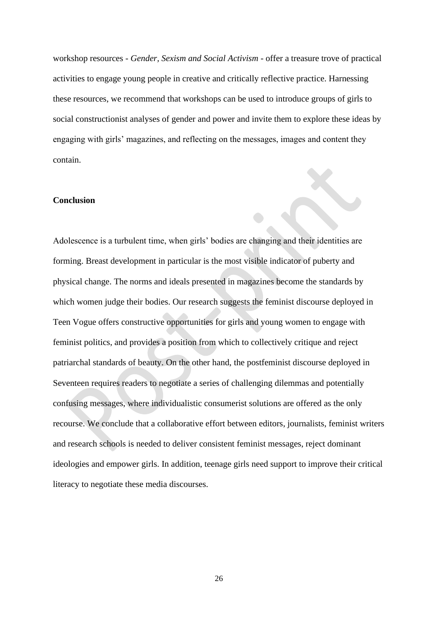workshop resources - *Gender, Sexism and Social Activism* - offer a treasure trove of practical activities to engage young people in creative and critically reflective practice. Harnessing these resources, we recommend that workshops can be used to introduce groups of girls to social constructionist analyses of gender and power and invite them to explore these ideas by engaging with girls' magazines, and reflecting on the messages, images and content they contain.

# **Conclusion**

Adolescence is a turbulent time, when girls' bodies are changing and their identities are forming. Breast development in particular is the most visible indicator of puberty and physical change. The norms and ideals presented in magazines become the standards by which women judge their bodies. Our research suggests the feminist discourse deployed in Teen Vogue offers constructive opportunities for girls and young women to engage with feminist politics, and provides a position from which to collectively critique and reject patriarchal standards of beauty. On the other hand, the postfeminist discourse deployed in Seventeen requires readers to negotiate a series of challenging dilemmas and potentially confusing messages, where individualistic consumerist solutions are offered as the only recourse. We conclude that a collaborative effort between editors, journalists, feminist writers and research schools is needed to deliver consistent feminist messages, reject dominant ideologies and empower girls. In addition, teenage girls need support to improve their critical literacy to negotiate these media discourses.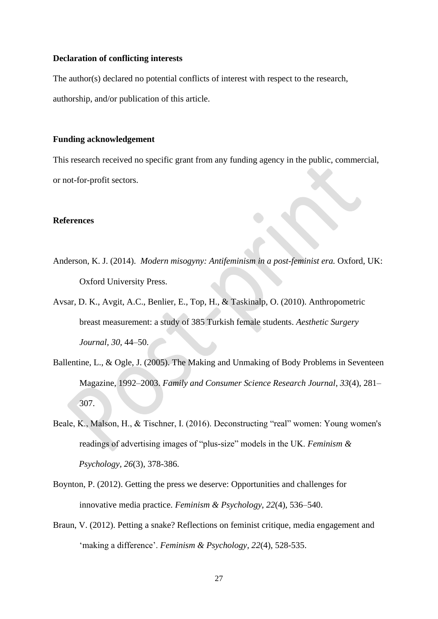## **Declaration of conflicting interests**

The author(s) declared no potential conflicts of interest with respect to the research, authorship, and/or publication of this article.

## **Funding acknowledgement**

This research received no specific grant from any funding agency in the public, commercial, or not-for-profit sectors.

# **References**

- Anderson, K. J. (2014). *Modern misogyny: Antifeminism in a post-feminist era.* Oxford, UK: Oxford University Press.
- Avsar, D. K., Avgit, A.C., Benlier, E., Top, H., & Taskinalp, O. (2010). Anthropometric breast measurement: a study of 385 Turkish female students. *Aesthetic Surgery Journal, 30,* 44–50.
- Ballentine, L., & Ogle, J. (2005). The Making and Unmaking of Body Problems in Seventeen Magazine, 1992–2003. *Family and Consumer Science Research Journal*, *33*(4), 281– 307.
- Beale, K., Malson, H., & Tischner, I. (2016). Deconstructing "real" women: Young women's readings of advertising images of "plus-size" models in the UK. *Feminism & Psychology, 26*(3), 378-386.
- Boynton, P. (2012). Getting the press we deserve: Opportunities and challenges for innovative media practice. *Feminism & Psychology*, *22*(4), 536–540.
- Braun, V. (2012). Petting a snake? Reflections on feminist critique, media engagement and 'making a difference'. *Feminism & Psychology*, *22*(4), 528-535.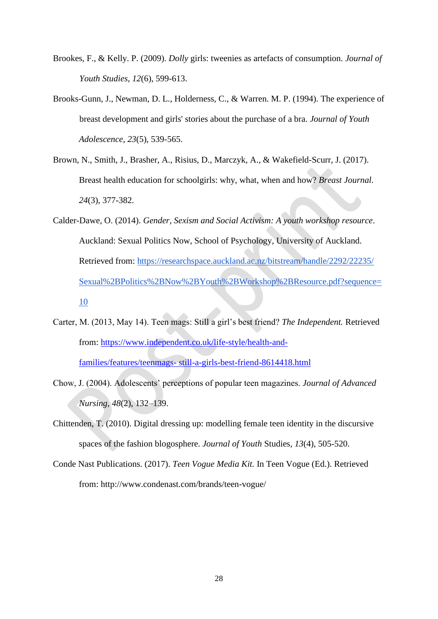- Brookes, F., & Kelly. P. (2009). *Dolly* girls: tweenies as artefacts of consumption. *Journal of Youth Studies*, *12*(6), 599-613.
- Brooks-Gunn, J., Newman, D. L., Holderness, C., & Warren. M. P. (1994). The experience of breast development and girls' stories about the purchase of a bra. *Journal of Youth Adolescence*, *23*(5), 539-565.
- Brown, N., Smith, J., Brasher, A., Risius, D., Marczyk, A., & Wakefield-Scurr, J. (2017). Breast health education for schoolgirls: why, what, when and how? *Breast Journal. 24*(3), 377-382.
- Calder-Dawe, O. (2014). *Gender, Sexism and Social Activism: A youth workshop resource*. Auckland: Sexual Politics Now, School of Psychology, University of Auckland. Retrieved from: [https://researchspace.auckland.ac.nz/bitstream/handle/2292/22235/](https://researchspace.auckland.ac.nz/bitstream/handle/2292/22235/Sexual%2BPolitics%2BNow%2BYouth%2BWorkshop%2BResource.pdf?sequence=10)  [Sexual%2BPolitics%2BNow%2BYouth%2BWorkshop%2BResource.pdf?sequence=](https://researchspace.auckland.ac.nz/bitstream/handle/2292/22235/Sexual%2BPolitics%2BNow%2BYouth%2BWorkshop%2BResource.pdf?sequence=10) [10](https://researchspace.auckland.ac.nz/bitstream/handle/2292/22235/Sexual%2BPolitics%2BNow%2BYouth%2BWorkshop%2BResource.pdf?sequence=10)
- Carter, M. (2013, May 14). Teen mags: Still a girl's best friend? *The Independent.* Retrieved from: [https://www.independent.co.uk/life-style/health-and-](https://www.independent.co.uk/life-style/health-and-families/features/teenmags-%20still-a-girls-best-friend-8614418.html)

families/features/teenmags- [still-a-girls-best-friend-8614418.html](https://www.independent.co.uk/life-style/health-and-families/features/teenmags-%20still-a-girls-best-friend-8614418.html)

- Chow, J. (2004). Adolescents' perceptions of popular teen magazines. *Journal of Advanced Nursing*, *48*(2), 132–139.
- Chittenden, T. (2010). Digital dressing up: modelling female teen identity in the discursive spaces of the fashion blogosphere. *Journal of Youth* Studies, *13*(4), 505-520.
- Conde Nast Publications. (2017). *Teen Vogue Media Kit.* In Teen Vogue (Ed.). Retrieved from:<http://www.condenast.com/brands/teen-vogue/>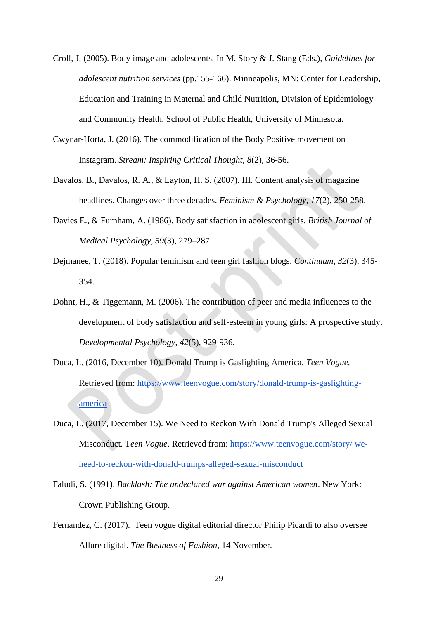- Croll, J. (2005). Body image and adolescents. In M. Story & J. Stang (Eds.), *Guidelines for adolescent nutrition services* (pp.155-166). Minneapolis, MN: Center for Leadership, Education and Training in Maternal and Child Nutrition, Division of Epidemiology and Community Health, School of Public Health, University of Minnesota.
- Cwynar-Horta, J. (2016). The commodification of the Body Positive movement on Instagram. *Stream: Inspiring Critical Thought*, *8*(2), 36-56.
- Davalos, B., Davalos, R. A., & Layton, H. S. (2007). III. Content analysis of magazine headlines. Changes over three decades. *Feminism & Psychology, 17*(2), 250-258.
- Davies E., & Furnham, A. (1986). Body satisfaction in adolescent girls. *British Journal of Medical Psychology*, *59*(3), 279–287.
- Dejmanee, T. (2018). Popular feminism and teen girl fashion blogs. *Continuum*, *32*(3), 345- 354.
- Dohnt, H., & Tiggemann, M. (2006). The contribution of peer and media influences to the development of body satisfaction and self-esteem in young girls: A prospective study. *Developmental Psychology*, *42*(5), 929-936.
- Duca, L. (2016, December 10). Donald Trump is Gaslighting America. *Teen Vogue.* Retrieved from: [https://www.teenvogue.com/story/donald-trump-is-gaslighting](https://www.teenvogue.com/story/donald-trump-is-gaslighting-america)[america](https://www.teenvogue.com/story/donald-trump-is-gaslighting-america)
- Duca, L. (2017, December 15). We Need to Reckon With Donald Trump's Alleged Sexual Misconduct. T*een Vogue*. Retrieved from: [https://www.teenvogue.com/story/ we](https://www.teenvogue.com/story/we-need-to-reckon-with-donald-trumps-alleged-sexual-misconduct)[need-to-reckon-with-donald-trumps-alleged-sexual-misconduct](https://www.teenvogue.com/story/we-need-to-reckon-with-donald-trumps-alleged-sexual-misconduct)
- Faludi, S. (1991). *Backlash: The undeclared war against American women*. New York: Crown Publishing Group.
- Fernandez, C. (2017). Teen vogue digital editorial director Philip Picardi to also oversee Allure digital. *The Business of Fashion*, 14 November.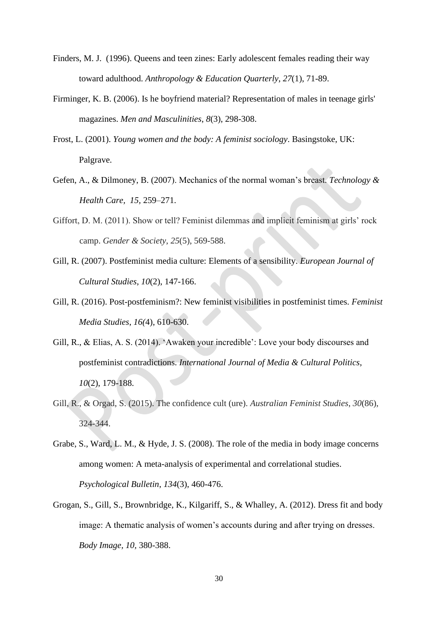- Finders, M. J. (1996). Queens and teen zines: Early adolescent females reading their way toward adulthood. *Anthropology & Education Quarterly*, *27*(1), 71-89.
- Firminger, K. B. (2006). Is he boyfriend material? Representation of males in teenage girls' magazines. *Men and Masculinities*, *8*(3), 298-308.
- Frost, L. (2001). *Young women and the body: A feminist sociology*. Basingstoke, UK: Palgrave.
- Gefen, A., & Dilmoney, B. (2007). Mechanics of the normal woman's breast. *Technology & Health Care, 15,* 259–271.
- Giffort, D. M. (2011). Show or tell? Feminist dilemmas and implicit feminism at girls' rock camp. *Gender & Society*, *25*(5), 569-588.
- Gill, R. (2007). Postfeminist media culture: Elements of a sensibility. *European Journal of Cultural Studies*, *10*(2), 147-166.
- Gill, R. (2016). Post-postfeminism?: New feminist visibilities in postfeminist times. *Feminist Media Studies*, *16(*4), 610-630.
- Gill, R., & Elias, A. S. (2014). 'Awaken your incredible': Love your body discourses and postfeminist contradictions. *International Journal of Media & Cultural Politics*, *10*(2), 179-188.
- Gill, R., & Orgad, S. (2015). The confidence cult (ure). *Australian Feminist Studies*, *30*(86), 324-344.
- Grabe, S., Ward, L. M., & Hyde, J. S. (2008). The role of the media in body image concerns among women: A meta-analysis of experimental and correlational studies. *Psychological Bulletin*, *134*(3), 460-476.
- Grogan, S., Gill, S., Brownbridge, K., Kilgariff, S., & Whalley, A. (2012). Dress fit and body image: A thematic analysis of women's accounts during and after trying on dresses. *Body Image, 10,* 380-388.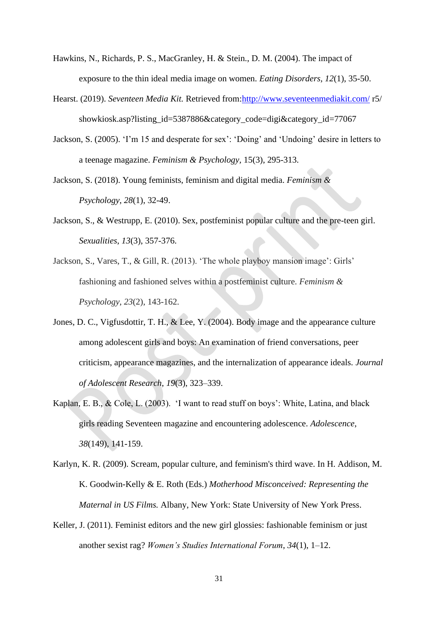- Hawkins, N., Richards, P. S., MacGranley, H. & Stein., D. M. (2004). The impact of exposure to the thin ideal media image on women. *Eating Disorders, 12*(1), 35-50.
- Hearst. (2019). *Seventeen Media Kit.* Retrieved from[:http://www.seventeenmediakit.com/](http://www.seventeenmediakit.com/) r5/ showkiosk.asp?listing\_id=5387886&category\_code=digi&category\_id=77067
- Jackson, S. (2005). 'I'm 15 and desperate for sex': 'Doing' and 'Undoing' desire in letters to a teenage magazine. *Feminism & Psychology,* 15(3), 295-313.
- Jackson, S. (2018). Young feminists, feminism and digital media. *Feminism & Psychology*, *28*(1), 32-49.
- Jackson, S., & Westrupp, E. (2010). Sex, postfeminist popular culture and the pre-teen girl. *Sexualities*, *13*(3), 357-376.
- Jackson, S., Vares, T., & Gill, R. (2013). 'The whole playboy mansion image': Girls' fashioning and fashioned selves within a postfeminist culture. *Feminism & Psychology*, *23*(2), 143-162.
- Jones, D. C., Vigfusdottir, T. H., & Lee, Y. (2004). Body image and the appearance culture among adolescent girls and boys: An examination of friend conversations, peer criticism, appearance magazines, and the internalization of appearance ideals. *Journal of Adolescent Research*, *19*(3), 323–339.
- Kaplan, E. B., & Cole, L. (2003). 'I want to read stuff on boys': White, Latina, and black girls reading Seventeen magazine and encountering adolescence. *Adolescence*, *38*(149), 141-159.
- Karlyn, K. R. (2009). Scream, popular culture, and feminism's third wave. In H. Addison, M. K. Goodwin-Kelly & E. Roth (Eds.) *Motherhood Misconceived: Representing the Maternal in US Films.* Albany, New York: State University of New York Press.
- Keller, J. (2011). Feminist editors and the new girl glossies: fashionable feminism or just another sexist rag? *Women's Studies International Forum*, *34*(1), 1–12.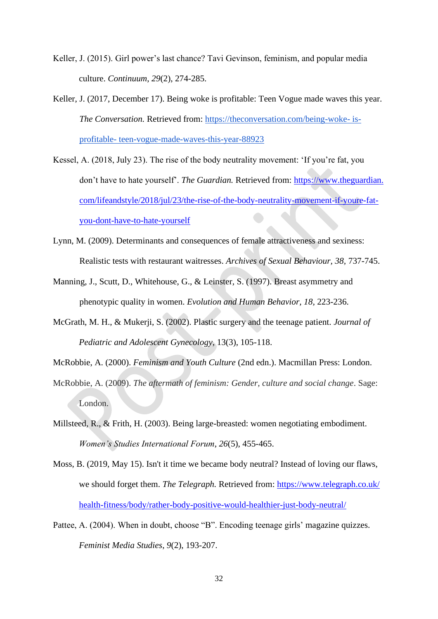- Keller, J. (2015). Girl power's last chance? Tavi Gevinson, feminism, and popular media culture. *Continuum*, *29*(2), 274-285.
- Keller, J. (2017, December 17). Being woke is profitable: Teen Vogue made waves this year. *The Conversation.* Retrieved from: [https://theconversation.com/being-woke-](https://theconversation.com/being-woke-is-profitable-teen-vogue-made-waves-this-year-88923) isprofitable- [teen-vogue-made-waves-this-year-88923](https://theconversation.com/being-woke-is-profitable-teen-vogue-made-waves-this-year-88923)
- Kessel, A. (2018, July 23). The rise of the body neutrality movement: 'If you're fat, you don't have to hate yourself'. *The Guardian.* Retrieved from: https://www.theguardian. com/lifeandstyle/2018/jul/23/the-rise-of-the-body-neutrality-movement-if-youre-fatyou-dont-have-to-hate-yourself
- Lynn, M. (2009). Determinants and consequences of female attractiveness and sexiness: Realistic tests with restaurant waitresses. *Archives of Sexual Behaviour, 38,* 737-745.
- Manning, J., Scutt, D., Whitehouse, G., & Leinster, S. (1997). Breast asymmetry and phenotypic quality in women. *Evolution and Human Behavior, 18,* 223-236.
- McGrath, M. H., & Mukerji, S. (2002). Plastic surgery and the teenage patient. *Journal of Pediatric and Adolescent Gynecology,* 13(3), 105-118.
- McRobbie, A. (2000). *Feminism and Youth Culture* (2nd edn.). Macmillan Press: London.
- McRobbie, A. (2009). *The aftermath of feminism: Gender, culture and social change*. Sage: London.
- Millsteed, R., & Frith, H. (2003). Being large-breasted: women negotiating embodiment. *Women's Studies International Forum*, *26*(5), 455-465.
- Moss, B. (2019, May 15). Isn't it time we became body neutral? Instead of loving our flaws, we should forget them. *The Telegraph.* Retrieved from: [https://www.telegraph.co.uk/](https://www.telegraph.co.uk/%20health-fitness/body/rather-body-positive-would-healthier-just-body-neutral/)  [health-fitness/body/rather-body-positive-would-healthier-just-body-neutral/](https://www.telegraph.co.uk/%20health-fitness/body/rather-body-positive-would-healthier-just-body-neutral/)
- Pattee, A. (2004). When in doubt, choose "B". Encoding teenage girls' magazine quizzes. *Feminist Media Studies*, *9*(2), 193-207.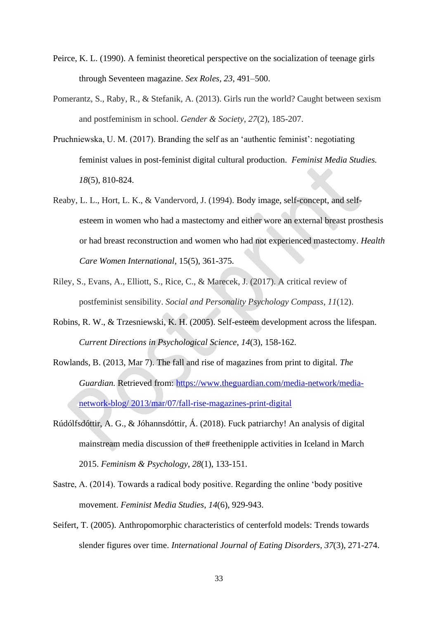- Peirce, K. L. (1990). A feminist theoretical perspective on the socialization of teenage girls through Seventeen magazine. *Sex Roles, 23*, 491–500.
- Pomerantz, S., Raby, R., & Stefanik, A. (2013). Girls run the world? Caught between sexism and postfeminism in school. *Gender & Society*, *27*(2), 185-207.
- Pruchniewska, U. M. (2017). Branding the self as an 'authentic feminist': negotiating feminist values in post-feminist digital cultural production. *Feminist Media Studies. 18*(5), 810-824.
- Reaby, L. L., Hort, L. K., & Vandervord, J. (1994). Body image, self-concept, and selfesteem in women who had a mastectomy and either wore an external breast prosthesis or had breast reconstruction and women who had not experienced mastectomy. *Health Care Women International,* 15(5), 361-375.
- Riley, S., Evans, A., Elliott, S., Rice, C., & Marecek, J. (2017). A critical review of postfeminist sensibility. *Social and Personality Psychology Compass*, *11*(12).
- Robins, R. W., & Trzesniewski, K. H. (2005). Self-esteem development across the lifespan. *Current Directions in Psychological Science*, *14*(3), 158-162.
- Rowlands, B. (2013, Mar 7). The fall and rise of magazines from print to digital. *The Guardian.* Retrieved from: [https://www.theguardian.com/media-network/media](https://www.theguardian.com/media-network/media-network-blog/%202013/mar/07/fall-rise-magazines-print-digital)[network-blog/ 2013/mar/07/fall-rise-magazines-print-digital](https://www.theguardian.com/media-network/media-network-blog/%202013/mar/07/fall-rise-magazines-print-digital)
- Rúdólfsdóttir, A. G., & Jóhannsdóttir, Á. (2018). Fuck patriarchy! An analysis of digital mainstream media discussion of the# freethenipple activities in Iceland in March 2015. *Feminism & Psychology*, *28*(1), 133-151.
- Sastre, A. (2014). Towards a radical body positive. Regarding the online 'body positive movement. *Feminist Media Studies*, *14*(6), 929-943.
- Seifert, T. (2005). Anthropomorphic characteristics of centerfold models: Trends towards slender figures over time. *International Journal of Eating Disorders*, *37*(3), 271-274.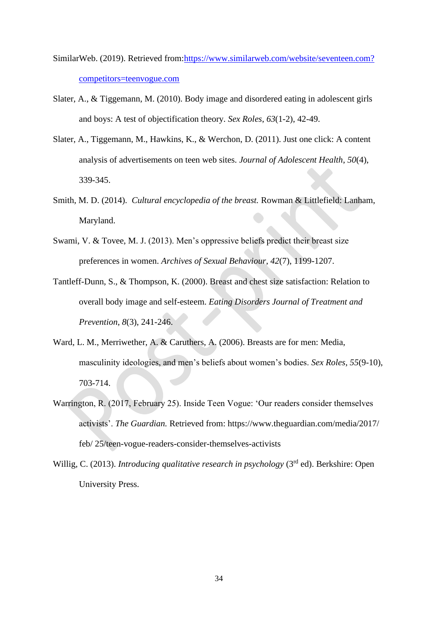- SimilarWeb. (2019). Retrieved from[:https://www.similarweb.com/website/seventeen.com?](https://www.similarweb.com/website/seventeen.com?%20competitors=teenvogue.com)  [competitors=teenvogue.com](https://www.similarweb.com/website/seventeen.com?%20competitors=teenvogue.com)
- Slater, A., & Tiggemann, M. (2010). Body image and disordered eating in adolescent girls and boys: A test of objectification theory. *Sex Roles*, *63*(1-2), 42-49.
- Slater, A., Tiggemann, M., Hawkins, K., & Werchon, D. (2011). Just one click: A content analysis of advertisements on teen web sites. *Journal of Adolescent Health*, *50*(4), 339-345.
- Smith, M. D. (2014). *Cultural encyclopedia of the breast.* Rowman & Littlefield: Lanham, Maryland.
- Swami, V. & Tovee, M. J. (2013). Men's oppressive beliefs predict their breast size preferences in women. *Archives of Sexual Behaviour*, *42*(7), 1199-1207.
- Tantleff-Dunn, S., & Thompson, K. (2000). Breast and chest size satisfaction: Relation to overall body image and self-esteem. *Eating Disorders Journal of Treatment and Prevention*, *8*(3), 241-246.
- Ward, L. M., Merriwether, A. & Caruthers, A. (2006). Breasts are for men: Media, masculinity ideologies, and men's beliefs about women's bodies. *Sex Roles*, *55*(9-10), 703-714.
- Warrington, R. (2017, February 25). Inside Teen Vogue: 'Our readers consider themselves activists'. *The Guardian.* Retrieved from: https://www.theguardian.com/media/2017/ feb/ 25/teen-vogue-readers-consider-themselves-activists
- Willig, C. (2013). *Introducing qualitative research in psychology* (3rd ed). Berkshire: Open University Press.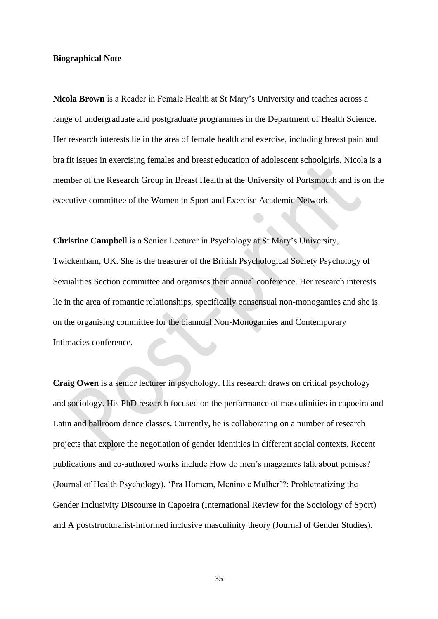## **Biographical Note**

**Nicola Brown** is a Reader in Female Health at St Mary's University and teaches across a range of undergraduate and postgraduate programmes in the Department of Health Science. Her research interests lie in the area of female health and exercise, including breast pain and bra fit issues in exercising females and breast education of adolescent schoolgirls. Nicola is a member of the Research Group in Breast Health at the University of Portsmouth and is on the executive committee of the Women in Sport and Exercise Academic Network.

**Christine Campbel**l is a Senior Lecturer in Psychology at St Mary's University, Twickenham, UK. She is the treasurer of the British Psychological Society Psychology of Sexualities Section committee and organises their annual conference. Her research interests lie in the area of romantic relationships, specifically consensual non-monogamies and she is on the organising committee for the biannual Non-Monogamies and Contemporary Intimacies conference.

**Craig Owen** is a senior lecturer in psychology. His research draws on critical psychology and sociology. His PhD research focused on the performance of masculinities in capoeira and Latin and ballroom dance classes. Currently, he is collaborating on a number of research projects that explore the negotiation of gender identities in different social contexts. Recent publications and co-authored works include How do men's magazines talk about penises? (Journal of Health Psychology), 'Pra Homem, Menino e Mulher'?: Problematizing the Gender Inclusivity Discourse in Capoeira (International Review for the Sociology of Sport) and A poststructuralist-informed inclusive masculinity theory (Journal of Gender Studies).